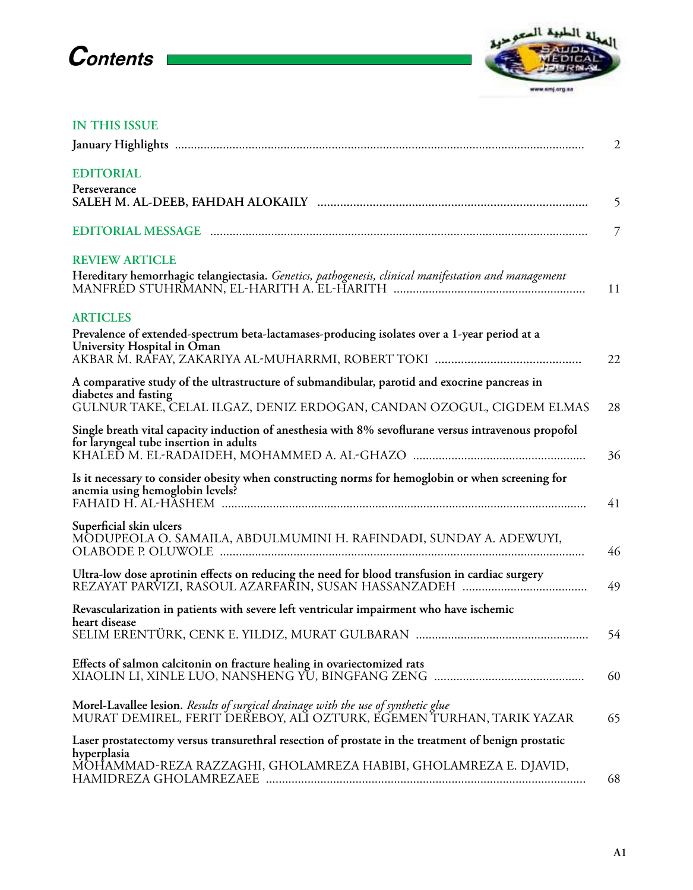## **Contents**



## **IN THIS ISSUE**

|                                                                                                                                                            | $\overline{2}$ |
|------------------------------------------------------------------------------------------------------------------------------------------------------------|----------------|
| <b>EDITORIAL</b><br>Perseverance                                                                                                                           |                |
|                                                                                                                                                            | 5              |
|                                                                                                                                                            | $\overline{7}$ |
| <b>REVIEW ARTICLE</b>                                                                                                                                      |                |
| Hereditary hemorrhagic telangiectasia. Genetics, pathogenesis, clinical manifestation and management                                                       | 11             |
| <b>ARTICLES</b>                                                                                                                                            |                |
| Prevalence of extended-spectrum beta-lactamases-producing isolates over a 1-year period at a<br>University Hospital in Oman                                |                |
|                                                                                                                                                            | 22             |
| A comparative study of the ultrastructure of submandibular, parotid and exocrine pancreas in<br>diabetes and fasting                                       |                |
| GULNUR TAKE, CELAL ILGAZ, DENIZ ERDOGAN, CANDAN OZOGUL, CIGDEM ELMAS                                                                                       | 28             |
| Single breath vital capacity induction of anesthesia with 8% sevoflurane versus intravenous propofol<br>for laryngeal tube insertion in adults             | 36             |
| Is it necessary to consider obesity when constructing norms for hemoglobin or when screening for                                                           |                |
| anemia using hemoglobin levels?                                                                                                                            | 41             |
| Superficial skin ulcers                                                                                                                                    |                |
| MÔDUPEOLA O. SAMAILA, ABDULMUMINI H. RAFINDADI, SUNDAY A. ADEWUYI,                                                                                         | 46             |
| Ultra-low dose aprotinin effects on reducing the need for blood transfusion in cardiac surgery                                                             | 49             |
| Revascularization in patients with severe left ventricular impairment who have ischemic                                                                    |                |
| heart disease                                                                                                                                              | 54             |
| Effects of salmon calcitonin on fracture healing in ovariectomized rats                                                                                    | 60             |
| Morel-Lavallee lesion. Results of surgical drainage with the use of synthetic glue<br>MURAT DEMIREL, FERIT DEŘEBOY, ALĬ OZTURK, EGEMEN TURHAN, TARIK YAZAR | 65             |
| Laser prostatectomy versus transurethral resection of prostate in the treatment of benign prostatic                                                        |                |
| hyperplasia<br>MOHAMMAD-REZA RAZZAGHI, GHOLAMREZA HABIBI, GHOLAMREZA E. DJAVID,                                                                            | 68             |
|                                                                                                                                                            |                |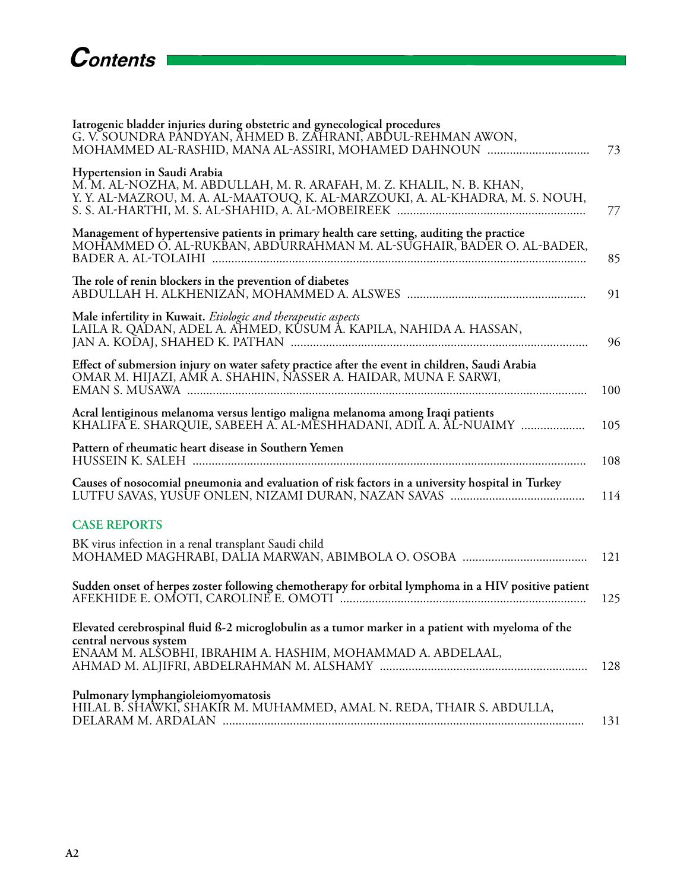| Iatrogenic bladder injuries during obstetric and gynecological procedures<br>G. V. SOUNDRA PÁNDYAN, AHMED B. ZAHRANI, ABDUL-REHMAN AWON,<br>MOHAMMED AL-RASHID, MANA AL-ASSIRI, MOHAMED DAHNOUN | 73  |
|-------------------------------------------------------------------------------------------------------------------------------------------------------------------------------------------------|-----|
| Hypertension in Saudi Arabia<br>M. M. AL-NOZHA, M. ABDULLAH, M. R. ARAFAH, M. Z. KHALIL, N. B. KHAN,<br>Y. Y. AL-MAZROU, M. A. AL-MAATOUQ, K. AL-MARZOUKI, A. AL-KHADRA, M. S. NOUH,            | 77  |
| Management of hypertensive patients in primary health care setting, auditing the practice<br>MOHAMMED Ó. AL-RUKBAN, ABDURRAHMAN M. AL-SUGHAIR, BADER O. AL-BADER,                               | 85  |
| The role of renin blockers in the prevention of diabetes                                                                                                                                        | 91  |
| Male infertility in Kuwait. Etiologic and therapeutic aspects<br>LAILA R. QADAN, ADEL A. AHMED, KÛSUM Â. KAPILA, NAHIDA A. HASSAN,                                                              | 96  |
| Effect of submersion injury on water safety practice after the event in children, Saudi Arabia<br>OMAR M. HIJAZI, AMR A. SHAHIN, NASSER A. HAIDAR, MUNA F. SARWI,                               | 100 |
| Acral lentiginous melanoma versus lentigo maligna melanoma among Iraqi patients<br>KHALIFA E. SHARQUIE, SABEEH A. AL-MESHHADANI, ADIL A. AL-NUAIMY                                              | 105 |
| Pattern of rheumatic heart disease in Southern Yemen                                                                                                                                            | 108 |
| Causes of nosocomial pneumonia and evaluation of risk factors in a university hospital in Turkey                                                                                                | 114 |
| <b>CASE REPORTS</b>                                                                                                                                                                             |     |
| BK virus infection in a renal transplant Saudi child                                                                                                                                            | 121 |
| Sudden onset of herpes zoster following chemotherapy for orbital lymphoma in a HIV positive patient                                                                                             | 125 |
| Elevated cerebrospinal fluid ß-2 microglobulin as a tumor marker in a patient with myeloma of the                                                                                               |     |
| central nervous system<br>ENAAM M. ALSOBHI, IBRAHIM A. HASHIM, MOHAMMAD A. ABDELAAL,                                                                                                            | 128 |
| Pulmonary lymphangioleiomyomatosis<br>HILAL B. SHAWKI, SHAKIR M. MUHAMMED, AMAL N. REDA, THAIR S. ABDULLA,                                                                                      | 131 |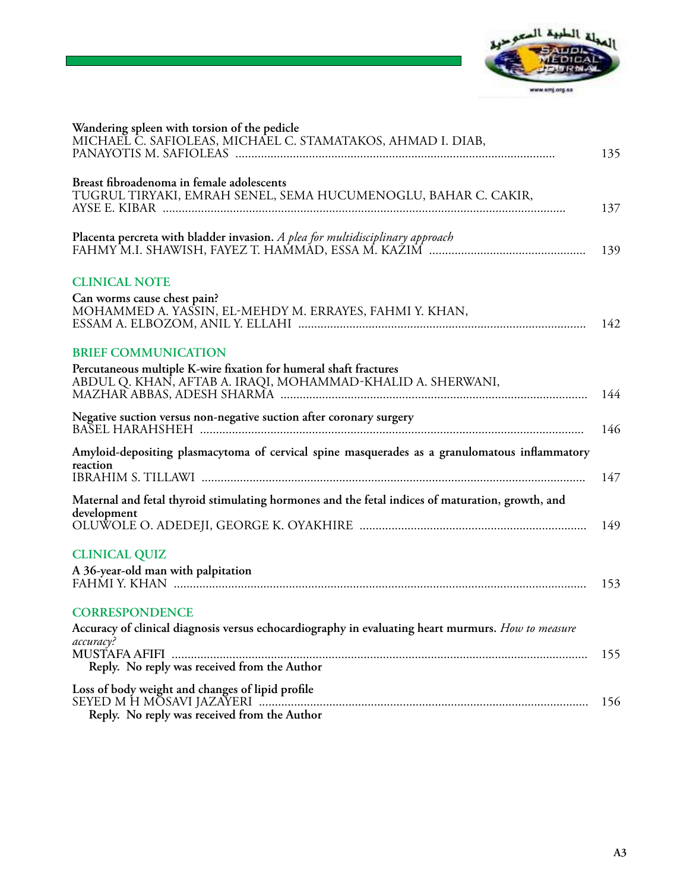

| Wandering spleen with torsion of the pedicle<br>MICHAEĽ Č. SAFIOLEAS, MICHÁEL C. STAMATAKOS, AHMAD I. DIAB,                                                    | 135 |
|----------------------------------------------------------------------------------------------------------------------------------------------------------------|-----|
| Breast fibroadenoma in female adolescents<br>TUGRUL TIRYAKI, EMRAH SENEL, SEMA HUCUMENOGLU, BAHAR C. CAKIR,                                                    | 137 |
| Placenta percreta with bladder invasion. A plea for multidisciplinary approach                                                                                 | 139 |
| <b>CLINICAL NOTE</b><br>Can worms cause chest pain?<br>MOHAMMED A. YASSIN, EL-MEHDY M. ERRAYES, FAHMI Y. KHAN,                                                 | 142 |
| <b>BRIEF COMMUNICATION</b><br>Percutaneous multiple K-wire fixation for humeral shaft fractures<br>ABDUL Q. KHAN, AFTAB A. IRAQI, MOHAMMAD-KHALID A. SHERWANI, | 144 |
| Negative suction versus non-negative suction after coronary surgery                                                                                            | 146 |
| Amyloid-depositing plasmacytoma of cervical spine masquerades as a granulomatous inflammatory<br>reaction                                                      | 147 |
| Maternal and fetal thyroid stimulating hormones and the fetal indices of maturation, growth, and<br>development                                                | 149 |
| <b>CLINICAL QUIZ</b><br>A 36-year-old man with palpitation                                                                                                     | 153 |
| <b>CORRESPONDENCE</b><br>Accuracy of clinical diagnosis versus echocardiography in evaluating heart murmurs. How to measure<br>accuracy?                       |     |
| Reply. No reply was received from the Author                                                                                                                   | 155 |
| Loss of body weight and changes of lipid profile<br>Reply. No reply was received from the Author                                                               | 156 |